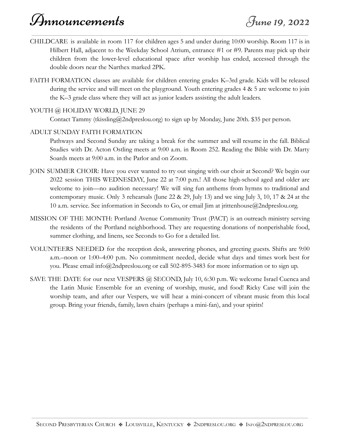## Announcements June 19, 2022

- CHILDCARE is available in room 117 for children ages 5 and under during 10:00 worship. Room 117 is in Hilbert Hall, adjacent to the Weekday School Atrium, entrance #1 or #9. Parents may pick up their children from the lower-level educational space after worship has ended, accessed through the double doors near the Narthex marked 2PK.
- FAITH FORMATION classes are available for children entering grades K–3rd grade. Kids will be released during the service and will meet on the playground. Youth entering grades 4 & 5 are welcome to join the K–3 grade class where they will act as junior leaders assisting the adult leaders.

## YOUTH @ HOLIDAY WORLD, JUNE 29

Contact Tammy (tkissling@2ndpreslou.org) to sign up by Monday, June 20th. \$35 per person.

## ADULT SUNDAY FAITH FORMATION

Pathways and Second Sunday are taking a break for the summer and will resume in the fall. Biblical Studies with Dr. Acton Ostling meets at 9:00 a.m. in Room 252. Reading the Bible with Dr. Marty Soards meets at 9:00 a.m. in the Parlor and on Zoom.

- JOIN SUMMER CHOIR: Have you ever wanted to try out singing with our choir at Second? We begin our 2022 session THIS WEDNESDAY, June 22 at 7:00 p.m.! All those high-school aged and older are welcome to join—no audition necessary! We will sing fun anthems from hymns to traditional and contemporary music. Only 3 rehearsals (June 22 & 29, July 13) and we sing July 3, 10, 17 & 24 at the 10 a.m. service. See information in Seconds to Go, or email Jim at jrittenhouse@2ndpreslou.org.
- MISSION OF THE MONTH: Portland Avenue Community Trust (PACT) is an outreach ministry serving the residents of the Portland neighborhood. They are requesting donations of nonperishable food, summer clothing, and linens, see Seconds to Go for a detailed list.
- VOLUNTEERS NEEDED for the reception desk, answering phones, and greeting guests. Shifts are 9:00 a.m.–noon or 1:00–4:00 p.m. No commitment needed, decide what days and times work best for you. Please email info@2ndpreslou.org or call 502-895-3483 for more information or to sign up.
- SAVE THE DATE for our next VESPERS @ SECOND, July 10, 6:30 p.m. We welcome Israel Cuenca and the Latin Music Ensemble for an evening of worship, music, and food! Ricky Case will join the worship team, and after our Vespers, we will hear a mini-concert of vibrant music from this local group. Bring your friends, family, lawn chairs (perhaps a mini-fan), and your spirits!